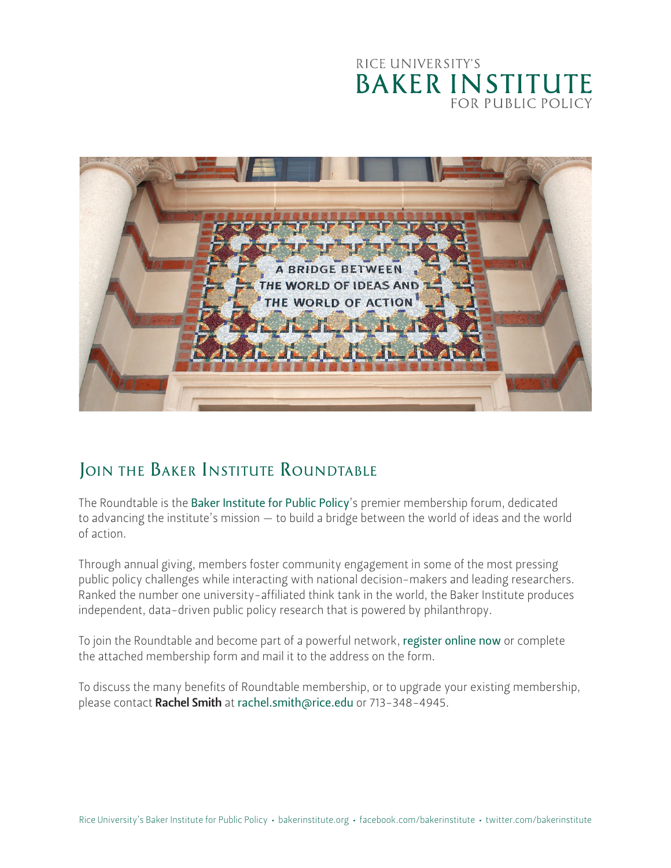### RICE UNIVERSITY'S **BAKER INSTITUTE FOR PUBLIC POLICY**



## **JOIN THE BAKER INSTITUTE ROUNDTABLE**

The Roundtable is the [Baker Institute for Public Policy](https://www.bakerinstitute.org)'s premier membership forum, dedicated to advancing the institute's mission — to build a bridge between the world of ideas and the world of action.

Through annual giving, members foster community engagement in some of the most pressing public policy challenges while interacting with national decision-makers and leading researchers. Ranked the number one university-affiliated think tank in the world, the Baker Institute produces independent, data-driven public policy research that is powered by philanthropy.

To join the Roundtable and become part of a powerful network, [register online now](https://riceconnect.rice.edu/bi-roundtable-membership) or complete the attached membership form and mail it to the address on the form.

To discuss the many benefits of Roundtable membership, or to upgrade your existing membership, please contact Rachel Smith at [rachel.smith@rice.edu](mailto:rachel.smith%40rice.edu?subject=Roundtable%20Membership) or 713-348-4945.